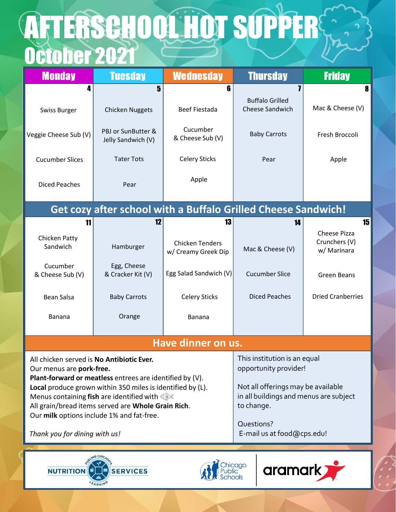## October 2021 **AFTERSCHOOL HOT SUPPERS**

| <b>Monday</b>                                                                                                                     | <b>Tuesday</b>                                                                                                                                                             | <b>Wednesday</b>                                                                           | <b>Thursday</b>                                       | <b>Friday</b>                                       |  |  |  |
|-----------------------------------------------------------------------------------------------------------------------------------|----------------------------------------------------------------------------------------------------------------------------------------------------------------------------|--------------------------------------------------------------------------------------------|-------------------------------------------------------|-----------------------------------------------------|--|--|--|
| 4                                                                                                                                 | 5                                                                                                                                                                          | 6                                                                                          |                                                       | 8                                                   |  |  |  |
| <b>Swiss Burger</b>                                                                                                               | <b>Chicken Nuggets</b>                                                                                                                                                     | <b>Beef Fiestada</b>                                                                       | <b>Buffalo Grilled</b><br>Cheese Sandwich             | Mac & Cheese (V)                                    |  |  |  |
| Veggie Cheese Sub (V)                                                                                                             | PBJ or SunButter &<br>Jelly Sandwich (V)                                                                                                                                   | Cucumber<br>& Cheese Sub (V)                                                               | <b>Baby Carrots</b>                                   | Fresh Broccoli                                      |  |  |  |
| <b>Cucumber Slices</b>                                                                                                            | <b>Tater Tots</b>                                                                                                                                                          | <b>Celery Sticks</b>                                                                       | Pear                                                  | Apple                                               |  |  |  |
| <b>Diced Peaches</b>                                                                                                              | Pear                                                                                                                                                                       | Apple                                                                                      |                                                       |                                                     |  |  |  |
| <b>Get cozy after school with a Buffalo Grilled Cheese Sandwich!</b>                                                              |                                                                                                                                                                            |                                                                                            |                                                       |                                                     |  |  |  |
| 11                                                                                                                                | 12                                                                                                                                                                         | 13                                                                                         | 14                                                    | 15                                                  |  |  |  |
| Chicken Patty<br>Sandwich                                                                                                         | Hamburger                                                                                                                                                                  | <b>Chicken Tenders</b><br>w/ Creamy Greek Dip                                              | Mac & Cheese (V)                                      | <b>Cheese Pizza</b><br>Crunchers (V)<br>w/ Marinara |  |  |  |
| Cucumber<br>& Cheese Sub (V)                                                                                                      | Egg, Cheese<br>& Cracker Kit (V)                                                                                                                                           | Egg Salad Sandwich (V)                                                                     | <b>Cucumber Slice</b>                                 | <b>Green Beans</b>                                  |  |  |  |
| <b>Bean Salsa</b>                                                                                                                 | <b>Baby Carrots</b>                                                                                                                                                        | <b>Celery Sticks</b>                                                                       | <b>Diced Peaches</b>                                  | <b>Dried Cranberries</b>                            |  |  |  |
| <b>Banana</b>                                                                                                                     | Orange                                                                                                                                                                     | Banana                                                                                     |                                                       |                                                     |  |  |  |
| Have dinner on us.                                                                                                                |                                                                                                                                                                            |                                                                                            |                                                       |                                                     |  |  |  |
| All chicken served is No Antibiotic Ever.<br>Our menus are pork-free.<br>Plant-forward or meatless entrees are identified by (V). |                                                                                                                                                                            |                                                                                            | This institution is an equal<br>opportunity provider! |                                                     |  |  |  |
|                                                                                                                                   | Local produce grown within 350 miles is identified by (L).<br>Menus containing fish are identified with $\mathbb{Q}$<br>All grain/bread items served are Whole Grain Rich. | Not all offerings may be available<br>in all buildings and menus are subject<br>to change. |                                                       |                                                     |  |  |  |
| Our milk options include 1% and fat-free.                                                                                         |                                                                                                                                                                            |                                                                                            | Questions?                                            |                                                     |  |  |  |
| Thank you for dining with us!                                                                                                     |                                                                                                                                                                            | E-mail us at food@cps.edu!                                                                 |                                                       |                                                     |  |  |  |